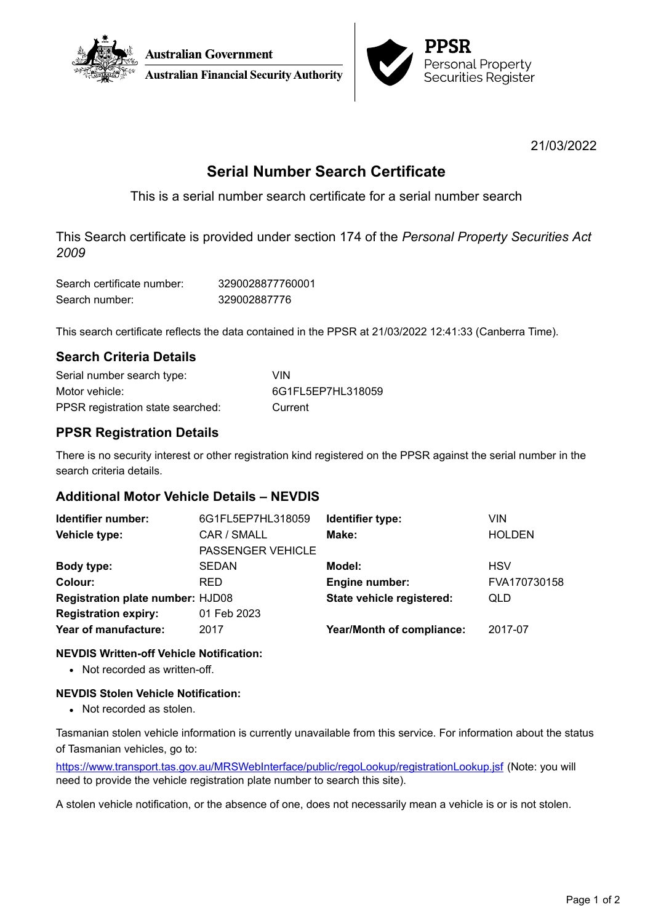



21/03/2022

# **Serial Number Search Certificate**

This is a serial number search certificate for a serial number search

This Search certificate is provided under section 174 of the *Personal Property Securities Act 2009*

| Search certificate number: | 3290028877760001 |
|----------------------------|------------------|
| Search number:             | 329002887776     |

This search certificate reflects the data contained in the PPSR at 21/03/2022 12:41:33 (Canberra Time).

### **Search Criteria Details**

| Serial number search type:        | VIN               |
|-----------------------------------|-------------------|
| Motor vehicle:                    | 6G1FL5EP7HL318059 |
| PPSR registration state searched: | Current           |

# **PPSR Registration Details**

There is no security interest or other registration kind registered on the PPSR against the serial number in the search criteria details.

# **Additional Motor Vehicle Details – NEVDIS**

| Identifier number:                      | 6G1FL5EP7HL318059        | Identifier type:                 | <b>VIN</b>    |
|-----------------------------------------|--------------------------|----------------------------------|---------------|
| Vehicle type:                           | CAR / SMALL              | Make:                            | <b>HOLDEN</b> |
|                                         | <b>PASSENGER VEHICLE</b> |                                  |               |
| Body type:                              | <b>SEDAN</b>             | Model:                           | <b>HSV</b>    |
| Colour:                                 | <b>RED</b>               | <b>Engine number:</b>            | FVA170730158  |
| <b>Registration plate number: HJD08</b> |                          | State vehicle registered:        | QLD           |
| <b>Registration expiry:</b>             | 01 Feb 2023              |                                  |               |
| Year of manufacture:                    | 2017                     | <b>Year/Month of compliance:</b> | 2017-07       |
|                                         |                          |                                  |               |

### **NEVDIS Written-off Vehicle Notification:**

• Not recorded as written-off.

### **NEVDIS Stolen Vehicle Notification:**

• Not recorded as stolen.

Tasmanian stolen vehicle information is currently unavailable from this service. For information about the status of Tasmanian vehicles, go to:

<https://www.transport.tas.gov.au/MRSWebInterface/public/regoLookup/registrationLookup.jsf> (Note: you will need to provide the vehicle registration plate number to search this site).

A stolen vehicle notification, or the absence of one, does not necessarily mean a vehicle is or is not stolen.